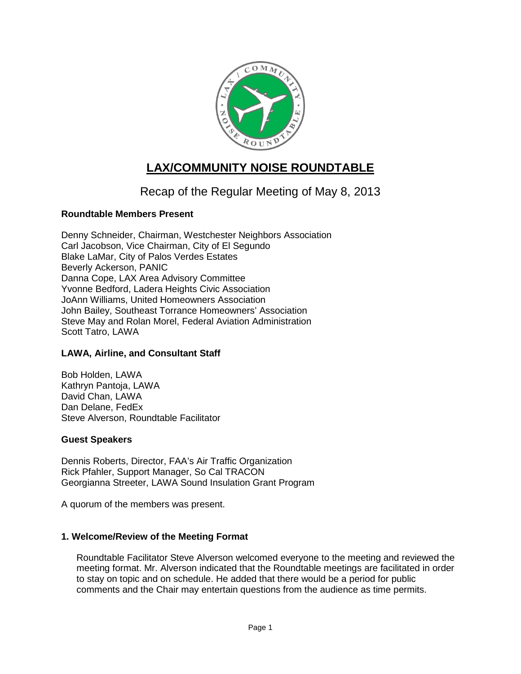

# **LAX/COMMUNITY NOISE ROUNDTABLE**

## Recap of the Regular Meeting of May 8, 2013

#### **Roundtable Members Present**

Denny Schneider, Chairman, Westchester Neighbors Association Carl Jacobson, Vice Chairman, City of El Segundo Blake LaMar, City of Palos Verdes Estates Beverly Ackerson, PANIC Danna Cope, LAX Area Advisory Committee Yvonne Bedford, Ladera Heights Civic Association JoAnn Williams, United Homeowners Association John Bailey, Southeast Torrance Homeowners' Association Steve May and Rolan Morel, Federal Aviation Administration Scott Tatro, LAWA

#### **LAWA, Airline, and Consultant Staff**

Bob Holden, LAWA Kathryn Pantoja, LAWA David Chan, LAWA Dan Delane, FedEx Steve Alverson, Roundtable Facilitator

#### **Guest Speakers**

Dennis Roberts, Director, FAA's Air Traffic Organization Rick Pfahler, Support Manager, So Cal TRACON Georgianna Streeter, LAWA Sound Insulation Grant Program

A quorum of the members was present.

#### **1. Welcome/Review of the Meeting Format**

Roundtable Facilitator Steve Alverson welcomed everyone to the meeting and reviewed the meeting format. Mr. Alverson indicated that the Roundtable meetings are facilitated in order to stay on topic and on schedule. He added that there would be a period for public comments and the Chair may entertain questions from the audience as time permits.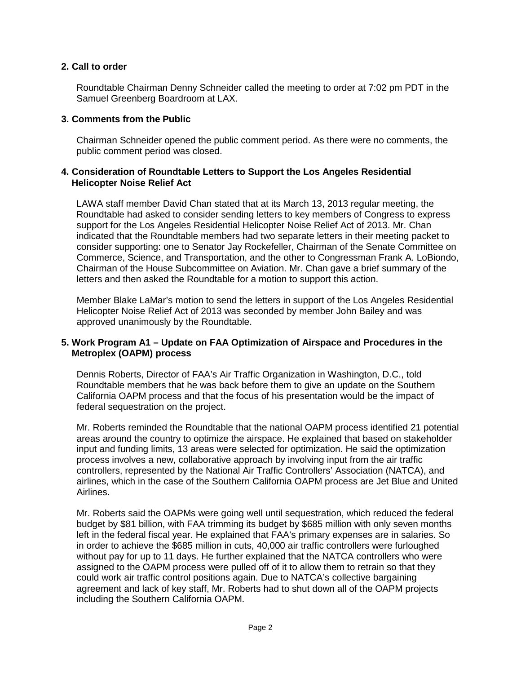#### **2. Call to order**

Roundtable Chairman Denny Schneider called the meeting to order at 7:02 pm PDT in the Samuel Greenberg Boardroom at LAX.

#### **3. Comments from the Public**

Chairman Schneider opened the public comment period. As there were no comments, the public comment period was closed.

#### **4. Consideration of Roundtable Letters to Support the Los Angeles Residential Helicopter Noise Relief Act**

LAWA staff member David Chan stated that at its March 13, 2013 regular meeting, the Roundtable had asked to consider sending letters to key members of Congress to express support for the Los Angeles Residential Helicopter Noise Relief Act of 2013. Mr. Chan indicated that the Roundtable members had two separate letters in their meeting packet to consider supporting: one to Senator Jay Rockefeller, Chairman of the Senate Committee on Commerce, Science, and Transportation, and the other to Congressman Frank A. LoBiondo, Chairman of the House Subcommittee on Aviation. Mr. Chan gave a brief summary of the letters and then asked the Roundtable for a motion to support this action.

Member Blake LaMar's motion to send the letters in support of the Los Angeles Residential Helicopter Noise Relief Act of 2013 was seconded by member John Bailey and was approved unanimously by the Roundtable.

#### **5. Work Program A1 – Update on FAA Optimization of Airspace and Procedures in the Metroplex (OAPM) process**

Dennis Roberts, Director of FAA's Air Traffic Organization in Washington, D.C., told Roundtable members that he was back before them to give an update on the Southern California OAPM process and that the focus of his presentation would be the impact of federal sequestration on the project.

Mr. Roberts reminded the Roundtable that the national OAPM process identified 21 potential areas around the country to optimize the airspace. He explained that based on stakeholder input and funding limits, 13 areas were selected for optimization. He said the optimization process involves a new, collaborative approach by involving input from the air traffic controllers, represented by the National Air Traffic Controllers' Association (NATCA), and airlines, which in the case of the Southern California OAPM process are Jet Blue and United Airlines.

Mr. Roberts said the OAPMs were going well until sequestration, which reduced the federal budget by \$81 billion, with FAA trimming its budget by \$685 million with only seven months left in the federal fiscal year. He explained that FAA's primary expenses are in salaries. So in order to achieve the \$685 million in cuts, 40,000 air traffic controllers were furloughed without pay for up to 11 days. He further explained that the NATCA controllers who were assigned to the OAPM process were pulled off of it to allow them to retrain so that they could work air traffic control positions again. Due to NATCA's collective bargaining agreement and lack of key staff, Mr. Roberts had to shut down all of the OAPM projects including the Southern California OAPM.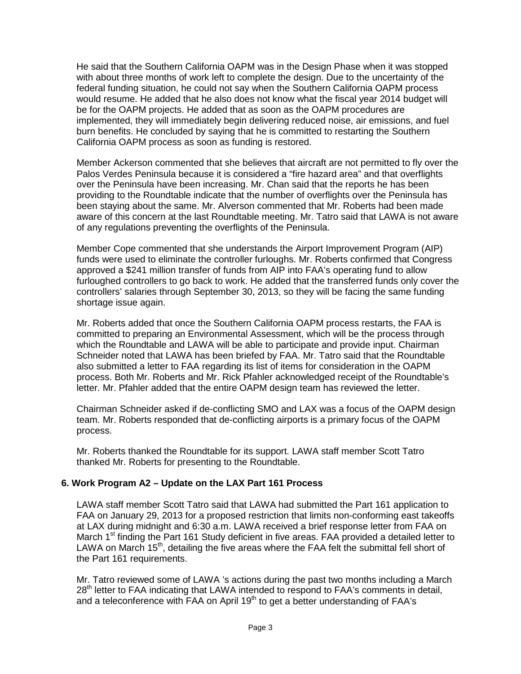He said that the Southern California OAPM was in the Design Phase when it was stopped with about three months of work left to complete the design. Due to the uncertainty of the federal funding situation, he could not say when the Southern California OAPM process would resume. He added that he also does not know what the fiscal year 2014 budget will be for the OAPM projects. He added that as soon as the OAPM procedures are implemented, they will immediately begin delivering reduced noise, air emissions, and fuel burn benefits. He concluded by saying that he is committed to restarting the Southern California OAPM process as soon as funding is restored.

Member Ackerson commented that she believes that aircraft are not permitted to fly over the Palos Verdes Peninsula because it is considered a "fire hazard area" and that overflights over the Peninsula have been increasing. Mr. Chan said that the reports he has been providing to the Roundtable indicate that the number of overflights over the Peninsula has been staying about the same. Mr. Alverson commented that Mr. Roberts had been made aware of this concern at the last Roundtable meeting. Mr. Tatro said that LAWA is not aware of any regulations preventing the overflights of the Peninsula.

Member Cope commented that she understands the Airport Improvement Program (AIP) funds were used to eliminate the controller furloughs. Mr. Roberts confirmed that Congress approved a \$241 million transfer of funds from AIP into FAA's operating fund to allow furloughed controllers to go back to work. He added that the transferred funds only cover the controllers' salaries through September 30, 2013, so they will be facing the same funding shortage issue again.

Mr. Roberts added that once the Southern California OAPM process restarts, the FAA is committed to preparing an Environmental Assessment, which will be the process through which the Roundtable and LAWA will be able to participate and provide input. Chairman Schneider noted that LAWA has been briefed by FAA. Mr. Tatro said that the Roundtable also submitted a letter to FAA regarding its list of items for consideration in the OAPM process. Both Mr. Roberts and Mr. Rick Pfahler acknowledged receipt of the Roundtable's letter. Mr. Pfahler added that the entire OAPM design team has reviewed the letter.

Chairman Schneider asked if de-conflicting SMO and LAX was a focus of the OAPM design team. Mr. Roberts responded that de-conflicting airports is a primary focus of the OAPM process.

Mr. Roberts thanked the Roundtable for its support. LAWA staff member Scott Tatro thanked Mr. Roberts for presenting to the Roundtable.

#### **6. Work Program A2 – Update on the LAX Part 161 Process**

LAWA staff member Scott Tatro said that LAWA had submitted the Part 161 application to FAA on January 29, 2013 for a proposed restriction that limits non-conforming east takeoffs at LAX during midnight and 6:30 a.m. LAWA received a brief response letter from FAA on March 1<sup>st</sup> finding the Part 161 Study deficient in five areas. FAA provided a detailed letter to LAWA on March  $15<sup>th</sup>$ , detailing the five areas where the FAA felt the submittal fell short of the Part 161 requirements.

Mr. Tatro reviewed some of LAWA 's actions during the past two months including a March 28<sup>th</sup> letter to FAA indicating that LAWA intended to respond to FAA's comments in detail, and a teleconference with  $FAA$  on April 19<sup>th</sup> to get a better understanding of  $FAA$ 's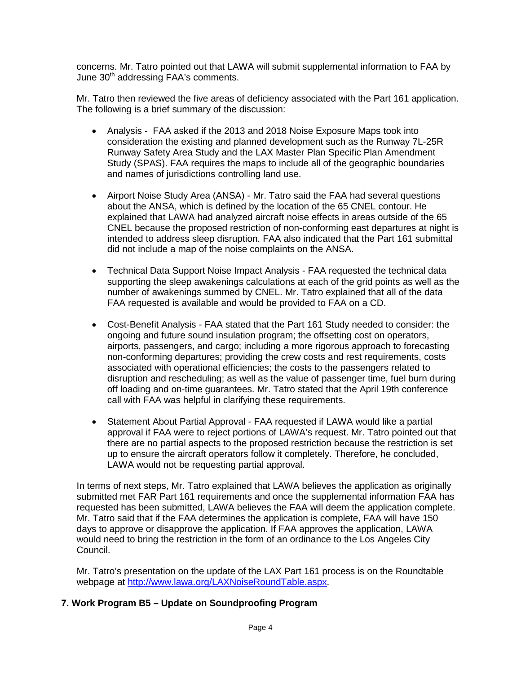concerns. Mr. Tatro pointed out that LAWA will submit supplemental information to FAA by June 30<sup>th</sup> addressing FAA's comments.

Mr. Tatro then reviewed the five areas of deficiency associated with the Part 161 application. The following is a brief summary of the discussion:

- Analysis FAA asked if the 2013 and 2018 Noise Exposure Maps took into consideration the existing and planned development such as the Runway 7L-25R Runway Safety Area Study and the LAX Master Plan Specific Plan Amendment Study (SPAS). FAA requires the maps to include all of the geographic boundaries and names of jurisdictions controlling land use.
- Airport Noise Study Area (ANSA) Mr. Tatro said the FAA had several questions about the ANSA, which is defined by the location of the 65 CNEL contour. He explained that LAWA had analyzed aircraft noise effects in areas outside of the 65 CNEL because the proposed restriction of non-conforming east departures at night is intended to address sleep disruption. FAA also indicated that the Part 161 submittal did not include a map of the noise complaints on the ANSA.
- Technical Data Support Noise Impact Analysis FAA requested the technical data supporting the sleep awakenings calculations at each of the grid points as well as the number of awakenings summed by CNEL. Mr. Tatro explained that all of the data FAA requested is available and would be provided to FAA on a CD.
- Cost-Benefit Analysis FAA stated that the Part 161 Study needed to consider: the ongoing and future sound insulation program; the offsetting cost on operators, airports, passengers, and cargo; including a more rigorous approach to forecasting non-conforming departures; providing the crew costs and rest requirements, costs associated with operational efficiencies; the costs to the passengers related to disruption and rescheduling; as well as the value of passenger time, fuel burn during off loading and on-time guarantees. Mr. Tatro stated that the April 19th conference call with FAA was helpful in clarifying these requirements.
- Statement About Partial Approval FAA requested if LAWA would like a partial approval if FAA were to reject portions of LAWA's request. Mr. Tatro pointed out that there are no partial aspects to the proposed restriction because the restriction is set up to ensure the aircraft operators follow it completely. Therefore, he concluded, LAWA would not be requesting partial approval.

In terms of next steps, Mr. Tatro explained that LAWA believes the application as originally submitted met FAR Part 161 requirements and once the supplemental information FAA has requested has been submitted, LAWA believes the FAA will deem the application complete. Mr. Tatro said that if the FAA determines the application is complete, FAA will have 150 days to approve or disapprove the application. If FAA approves the application, LAWA would need to bring the restriction in the form of an ordinance to the Los Angeles City Council.

Mr. Tatro's presentation on the update of the LAX Part 161 process is on the Roundtable webpage at [http://www.lawa.org/LAXNoiseRoundTable.aspx.](http://www.lawa.org/LAXNoiseRoundTable.aspx)

## **7. Work Program B5 – Update on Soundproofing Program**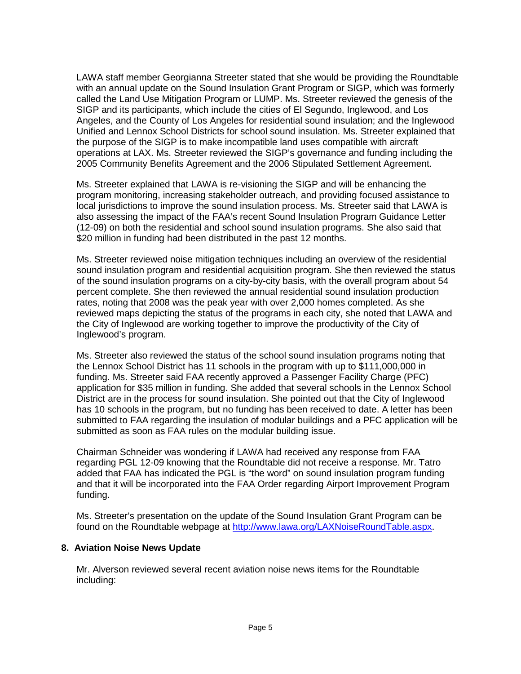LAWA staff member Georgianna Streeter stated that she would be providing the Roundtable with an annual update on the Sound Insulation Grant Program or SIGP, which was formerly called the Land Use Mitigation Program or LUMP. Ms. Streeter reviewed the genesis of the SIGP and its participants, which include the cities of El Segundo, Inglewood, and Los Angeles, and the County of Los Angeles for residential sound insulation; and the Inglewood Unified and Lennox School Districts for school sound insulation. Ms. Streeter explained that the purpose of the SIGP is to make incompatible land uses compatible with aircraft operations at LAX. Ms. Streeter reviewed the SIGP's governance and funding including the 2005 Community Benefits Agreement and the 2006 Stipulated Settlement Agreement.

Ms. Streeter explained that LAWA is re-visioning the SIGP and will be enhancing the program monitoring, increasing stakeholder outreach, and providing focused assistance to local jurisdictions to improve the sound insulation process. Ms. Streeter said that LAWA is also assessing the impact of the FAA's recent Sound Insulation Program Guidance Letter (12-09) on both the residential and school sound insulation programs. She also said that \$20 million in funding had been distributed in the past 12 months.

Ms. Streeter reviewed noise mitigation techniques including an overview of the residential sound insulation program and residential acquisition program. She then reviewed the status of the sound insulation programs on a city-by-city basis, with the overall program about 54 percent complete. She then reviewed the annual residential sound insulation production rates, noting that 2008 was the peak year with over 2,000 homes completed. As she reviewed maps depicting the status of the programs in each city, she noted that LAWA and the City of Inglewood are working together to improve the productivity of the City of Inglewood's program.

Ms. Streeter also reviewed the status of the school sound insulation programs noting that the Lennox School District has 11 schools in the program with up to \$111,000,000 in funding. Ms. Streeter said FAA recently approved a Passenger Facility Charge (PFC) application for \$35 million in funding. She added that several schools in the Lennox School District are in the process for sound insulation. She pointed out that the City of Inglewood has 10 schools in the program, but no funding has been received to date. A letter has been submitted to FAA regarding the insulation of modular buildings and a PFC application will be submitted as soon as FAA rules on the modular building issue.

Chairman Schneider was wondering if LAWA had received any response from FAA regarding PGL 12-09 knowing that the Roundtable did not receive a response. Mr. Tatro added that FAA has indicated the PGL is "the word" on sound insulation program funding and that it will be incorporated into the FAA Order regarding Airport Improvement Program funding.

Ms. Streeter's presentation on the update of the Sound Insulation Grant Program can be found on the Roundtable webpage at [http://www.lawa.org/LAXNoiseRoundTable.aspx.](http://www.lawa.org/LAXNoiseRoundTable.aspx)

#### **8. Aviation Noise News Update**

Mr. Alverson reviewed several recent aviation noise news items for the Roundtable including: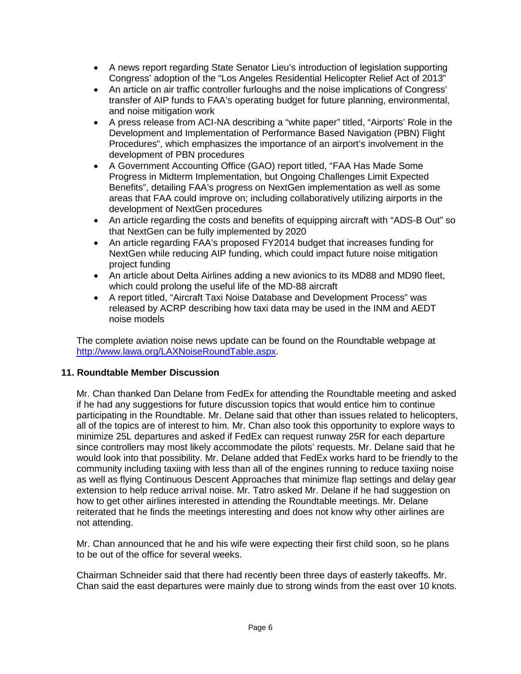- A news report regarding State Senator Lieu's introduction of legislation supporting Congress' adoption of the "Los Angeles Residential Helicopter Relief Act of 2013"
- An article on air traffic controller furloughs and the noise implications of Congress' transfer of AIP funds to FAA's operating budget for future planning, environmental, and noise mitigation work
- A press release from ACI-NA describing a "white paper" titled, "Airports' Role in the Development and Implementation of Performance Based Navigation (PBN) Flight Procedures", which emphasizes the importance of an airport's involvement in the development of PBN procedures
- A Government Accounting Office (GAO) report titled, "FAA Has Made Some Progress in Midterm Implementation, but Ongoing Challenges Limit Expected Benefits", detailing FAA's progress on NextGen implementation as well as some areas that FAA could improve on; including collaboratively utilizing airports in the development of NextGen procedures
- An article regarding the costs and benefits of equipping aircraft with "ADS-B Out" so that NextGen can be fully implemented by 2020
- An article regarding FAA's proposed FY2014 budget that increases funding for NextGen while reducing AIP funding, which could impact future noise mitigation project funding
- An article about Delta Airlines adding a new avionics to its MD88 and MD90 fleet, which could prolong the useful life of the MD-88 aircraft
- A report titled, "Aircraft Taxi Noise Database and Development Process" was released by ACRP describing how taxi data may be used in the INM and AEDT noise models

The complete aviation noise news update can be found on the Roundtable webpage at [http://www.lawa.org/LAXNoiseRoundTable.aspx.](http://www.lawa.org/LAXNoiseRoundTable.aspx)

## **11. Roundtable Member Discussion**

Mr. Chan thanked Dan Delane from FedEx for attending the Roundtable meeting and asked if he had any suggestions for future discussion topics that would entice him to continue participating in the Roundtable. Mr. Delane said that other than issues related to helicopters, all of the topics are of interest to him. Mr. Chan also took this opportunity to explore ways to minimize 25L departures and asked if FedEx can request runway 25R for each departure since controllers may most likely accommodate the pilots' requests. Mr. Delane said that he would look into that possibility. Mr. Delane added that FedEx works hard to be friendly to the community including taxiing with less than all of the engines running to reduce taxiing noise as well as flying Continuous Descent Approaches that minimize flap settings and delay gear extension to help reduce arrival noise. Mr. Tatro asked Mr. Delane if he had suggestion on how to get other airlines interested in attending the Roundtable meetings. Mr. Delane reiterated that he finds the meetings interesting and does not know why other airlines are not attending.

Mr. Chan announced that he and his wife were expecting their first child soon, so he plans to be out of the office for several weeks.

Chairman Schneider said that there had recently been three days of easterly takeoffs. Mr. Chan said the east departures were mainly due to strong winds from the east over 10 knots.